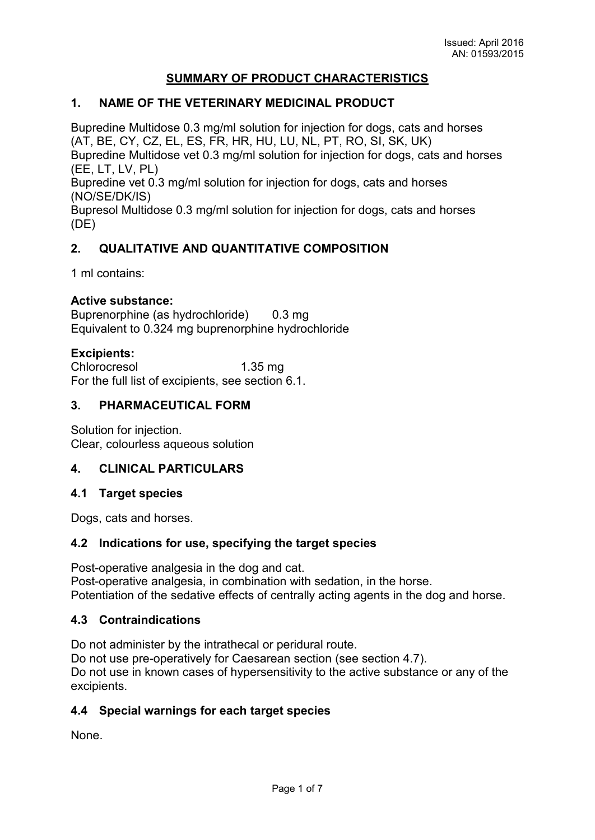# **SUMMARY OF PRODUCT CHARACTERISTICS**

#### **1. NAME OF THE VETERINARY MEDICINAL PRODUCT**

Bupredine Multidose 0.3 mg/ml solution for injection for dogs, cats and horses (AT, BE, CY, CZ, EL, ES, FR, HR, HU, LU, NL, PT, RO, SI, SK, UK) Bupredine Multidose vet 0.3 mg/ml solution for injection for dogs, cats and horses

(EE, LT, LV, PL)

Bupredine vet 0.3 mg/ml solution for injection for dogs, cats and horses (NO/SE/DK/IS)

Bupresol Multidose 0.3 mg/ml solution for injection for dogs, cats and horses (DE)

## **2. QUALITATIVE AND QUANTITATIVE COMPOSITION**

1 ml contains:

#### **Active substance:**

Buprenorphine (as hydrochloride) 0.3 mg Equivalent to 0.324 mg buprenorphine hydrochloride

#### **Excipients:**

Chlorocresol 1.35 mg For the full list of excipients, see section 6.1.

#### **3. PHARMACEUTICAL FORM**

Solution for injection. Clear, colourless aqueous solution

#### **4. CLINICAL PARTICULARS**

#### **4.1 Target species**

Dogs, cats and horses.

#### **4.2 Indications for use, specifying the target species**

Post-operative analgesia in the dog and cat. Post-operative analgesia, in combination with sedation, in the horse. Potentiation of the sedative effects of centrally acting agents in the dog and horse.

#### **4.3 Contraindications**

Do not administer by the intrathecal or peridural route. Do not use pre-operatively for Caesarean section (see section 4.7). Do not use in known cases of hypersensitivity to the active substance or any of the excipients.

## **4.4 Special warnings for each target species**

None.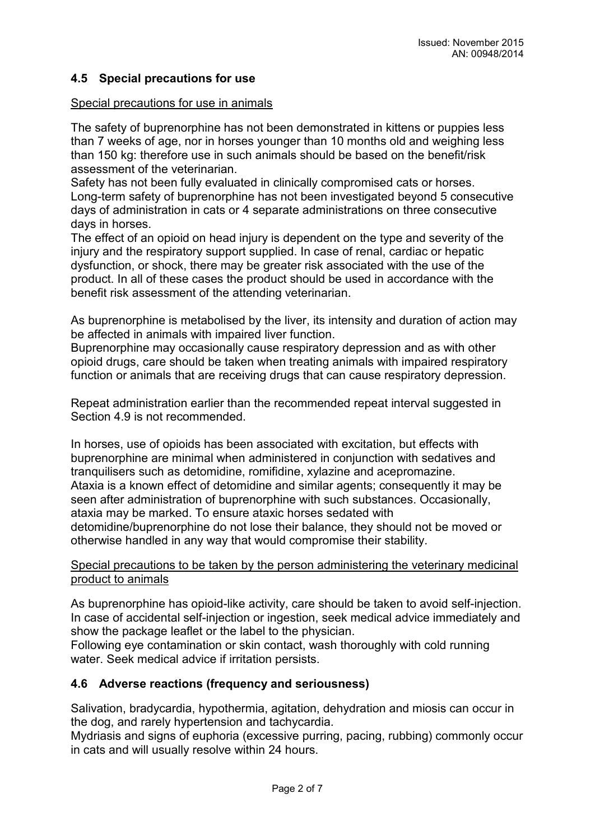# **4.5 Special precautions for use**

#### Special precautions for use in animals

The safety of buprenorphine has not been demonstrated in kittens or puppies less than 7 weeks of age, nor in horses younger than 10 months old and weighing less than 150 kg: therefore use in such animals should be based on the benefit/risk assessment of the veterinarian.

Safety has not been fully evaluated in clinically compromised cats or horses. Long-term safety of buprenorphine has not been investigated beyond 5 consecutive days of administration in cats or 4 separate administrations on three consecutive days in horses.

The effect of an opioid on head injury is dependent on the type and severity of the injury and the respiratory support supplied. In case of renal, cardiac or hepatic dysfunction, or shock, there may be greater risk associated with the use of the product. In all of these cases the product should be used in accordance with the benefit risk assessment of the attending veterinarian.

As buprenorphine is metabolised by the liver, its intensity and duration of action may be affected in animals with impaired liver function.

Buprenorphine may occasionally cause respiratory depression and as with other opioid drugs, care should be taken when treating animals with impaired respiratory function or animals that are receiving drugs that can cause respiratory depression.

Repeat administration earlier than the recommended repeat interval suggested in Section 4.9 is not recommended.

In horses, use of opioids has been associated with excitation, but effects with buprenorphine are minimal when administered in conjunction with sedatives and tranquilisers such as detomidine, romifidine, xylazine and acepromazine. Ataxia is a known effect of detomidine and similar agents; consequently it may be seen after administration of buprenorphine with such substances. Occasionally, ataxia may be marked. To ensure ataxic horses sedated with detomidine/buprenorphine do not lose their balance, they should not be moved or otherwise handled in any way that would compromise their stability.

#### Special precautions to be taken by the person administering the veterinary medicinal product to animals

As buprenorphine has opioid-like activity, care should be taken to avoid self-injection. In case of accidental self-injection or ingestion, seek medical advice immediately and show the package leaflet or the label to the physician.

Following eye contamination or skin contact, wash thoroughly with cold running water. Seek medical advice if irritation persists.

## **4.6 Adverse reactions (frequency and seriousness)**

Salivation, bradycardia, hypothermia, agitation, dehydration and miosis can occur in the dog, and rarely hypertension and tachycardia.

Mydriasis and signs of euphoria (excessive purring, pacing, rubbing) commonly occur in cats and will usually resolve within 24 hours.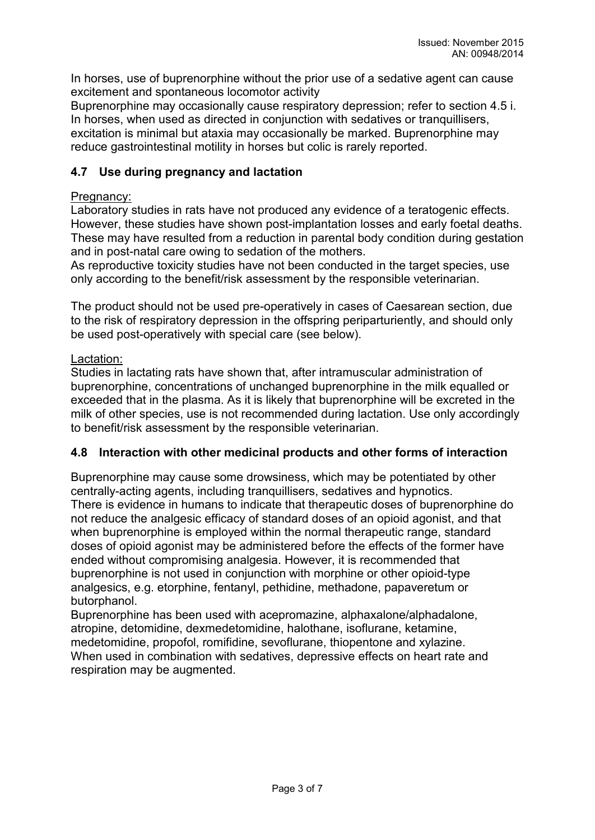In horses, use of buprenorphine without the prior use of a sedative agent can cause excitement and spontaneous locomotor activity

Buprenorphine may occasionally cause respiratory depression; refer to section 4.5 i. In horses, when used as directed in conjunction with sedatives or tranquillisers, excitation is minimal but ataxia may occasionally be marked. Buprenorphine may reduce gastrointestinal motility in horses but colic is rarely reported.

# **4.7 Use during pregnancy and lactation**

## Pregnancy:

Laboratory studies in rats have not produced any evidence of a teratogenic effects. However, these studies have shown post-implantation losses and early foetal deaths. These may have resulted from a reduction in parental body condition during gestation and in post-natal care owing to sedation of the mothers.

As reproductive toxicity studies have not been conducted in the target species, use only according to the benefit/risk assessment by the responsible veterinarian.

The product should not be used pre-operatively in cases of Caesarean section, due to the risk of respiratory depression in the offspring periparturiently, and should only be used post-operatively with special care (see below).

# Lactation:

Studies in lactating rats have shown that, after intramuscular administration of buprenorphine, concentrations of unchanged buprenorphine in the milk equalled or exceeded that in the plasma. As it is likely that buprenorphine will be excreted in the milk of other species, use is not recommended during lactation. Use only accordingly to benefit/risk assessment by the responsible veterinarian.

# **4.8 Interaction with other medicinal products and other forms of interaction**

Buprenorphine may cause some drowsiness, which may be potentiated by other centrally-acting agents, including tranquillisers, sedatives and hypnotics. There is evidence in humans to indicate that therapeutic doses of buprenorphine do not reduce the analgesic efficacy of standard doses of an opioid agonist, and that when buprenorphine is employed within the normal therapeutic range, standard doses of opioid agonist may be administered before the effects of the former have ended without compromising analgesia. However, it is recommended that buprenorphine is not used in conjunction with morphine or other opioid-type analgesics, e.g. etorphine, fentanyl, pethidine, methadone, papaveretum or butorphanol.

Buprenorphine has been used with acepromazine, alphaxalone/alphadalone, atropine, detomidine, dexmedetomidine, halothane, isoflurane, ketamine, medetomidine, propofol, romifidine, sevoflurane, thiopentone and xylazine. When used in combination with sedatives, depressive effects on heart rate and respiration may be augmented.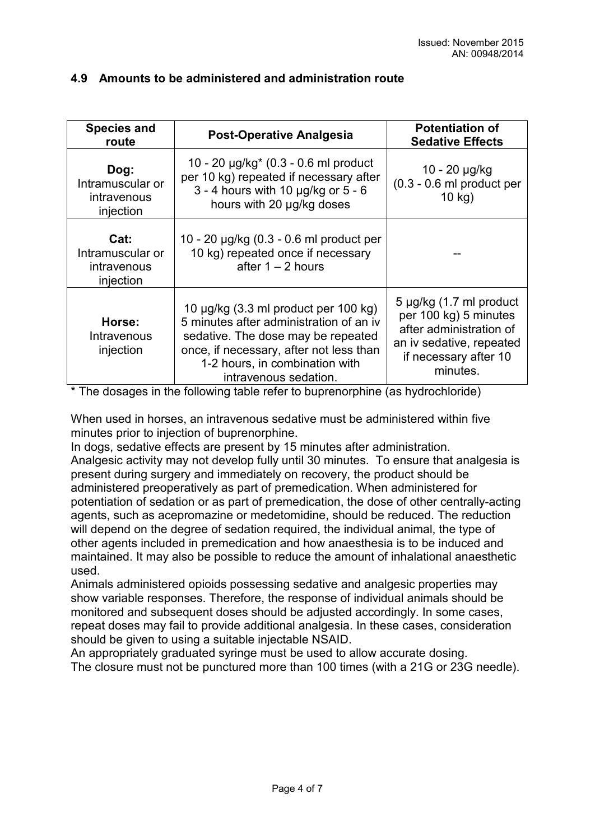| <b>Species and</b><br>route                          | <b>Post-Operative Analgesia</b>                                                                                                                                                                                             | <b>Potentiation of</b><br><b>Sedative Effects</b>                                                                                            |
|------------------------------------------------------|-----------------------------------------------------------------------------------------------------------------------------------------------------------------------------------------------------------------------------|----------------------------------------------------------------------------------------------------------------------------------------------|
| Dog:<br>Intramuscular or<br>intravenous<br>injection | 10 - 20 $\mu$ g/kg <sup>*</sup> (0.3 - 0.6 ml product<br>per 10 kg) repeated if necessary after<br>$3 - 4$ hours with 10 $\mu$ g/kg or $5 - 6$<br>hours with 20 µg/kg doses                                                 | 10 - 20 µg/kg<br>$(0.3 - 0.6$ ml product per<br>$10$ kg)                                                                                     |
| Cat:<br>Intramuscular or<br>intravenous<br>injection | 10 - 20 µg/kg (0.3 - 0.6 ml product per<br>10 kg) repeated once if necessary<br>after $1 - 2$ hours                                                                                                                         |                                                                                                                                              |
| Horse:<br>Intravenous<br>injection                   | 10 µg/kg (3.3 ml product per 100 kg)<br>5 minutes after administration of an iv<br>sedative. The dose may be repeated<br>once, if necessary, after not less than<br>1-2 hours, in combination with<br>intravenous sedation. | 5 µg/kg (1.7 ml product<br>per 100 kg) 5 minutes<br>after administration of<br>an iv sedative, repeated<br>if necessary after 10<br>minutes. |

# **4.9 Amounts to be administered and administration route**

\* The dosages in the following table refer to buprenorphine (as hydrochloride)

When used in horses, an intravenous sedative must be administered within five minutes prior to injection of buprenorphine.

In dogs, sedative effects are present by 15 minutes after administration.

Analgesic activity may not develop fully until 30 minutes. To ensure that analgesia is present during surgery and immediately on recovery, the product should be administered preoperatively as part of premedication. When administered for potentiation of sedation or as part of premedication, the dose of other centrally-acting agents, such as acepromazine or medetomidine, should be reduced. The reduction will depend on the degree of sedation required, the individual animal, the type of other agents included in premedication and how anaesthesia is to be induced and maintained. It may also be possible to reduce the amount of inhalational anaesthetic used.

Animals administered opioids possessing sedative and analgesic properties may show variable responses. Therefore, the response of individual animals should be monitored and subsequent doses should be adjusted accordingly. In some cases, repeat doses may fail to provide additional analgesia. In these cases, consideration should be given to using a suitable injectable NSAID.

An appropriately graduated syringe must be used to allow accurate dosing. The closure must not be punctured more than 100 times (with a 21G or 23G needle).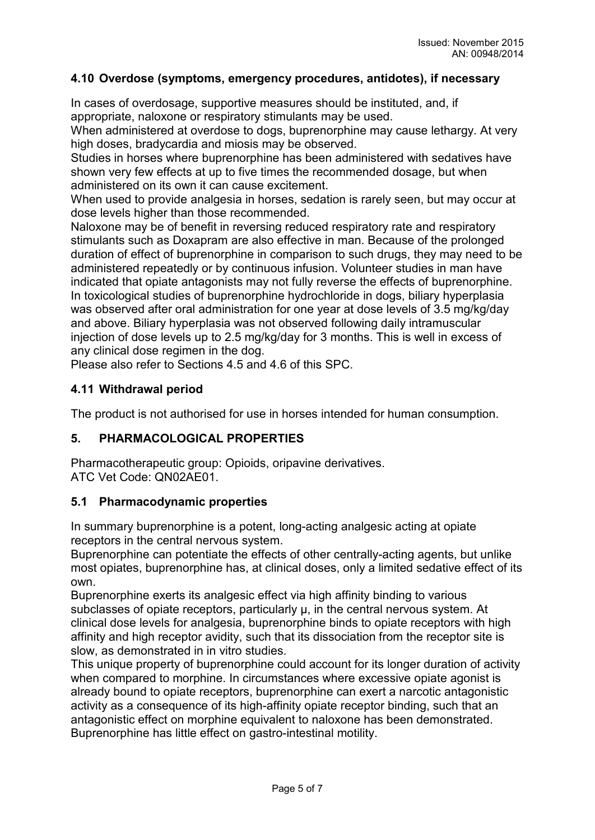## **4.10 Overdose (symptoms, emergency procedures, antidotes), if necessary**

In cases of overdosage, supportive measures should be instituted, and, if appropriate, naloxone or respiratory stimulants may be used.

When administered at overdose to dogs, buprenorphine may cause lethargy. At very high doses, bradycardia and miosis may be observed.

Studies in horses where buprenorphine has been administered with sedatives have shown very few effects at up to five times the recommended dosage, but when administered on its own it can cause excitement.

When used to provide analgesia in horses, sedation is rarely seen, but may occur at dose levels higher than those recommended.

Naloxone may be of benefit in reversing reduced respiratory rate and respiratory stimulants such as Doxapram are also effective in man. Because of the prolonged duration of effect of buprenorphine in comparison to such drugs, they may need to be administered repeatedly or by continuous infusion. Volunteer studies in man have indicated that opiate antagonists may not fully reverse the effects of buprenorphine. In toxicological studies of buprenorphine hydrochloride in dogs, biliary hyperplasia was observed after oral administration for one year at dose levels of 3.5 mg/kg/day and above. Biliary hyperplasia was not observed following daily intramuscular injection of dose levels up to 2.5 mg/kg/day for 3 months. This is well in excess of any clinical dose regimen in the dog.

Please also refer to Sections 4.5 and 4.6 of this SPC.

## **4.11 Withdrawal period**

The product is not authorised for use in horses intended for human consumption.

## **5. PHARMACOLOGICAL PROPERTIES**

Pharmacotherapeutic group: Opioids, oripavine derivatives. ATC Vet Code: QN02AE01.

## **5.1 Pharmacodynamic properties**

In summary buprenorphine is a potent, long-acting analgesic acting at opiate receptors in the central nervous system.

Buprenorphine can potentiate the effects of other centrally-acting agents, but unlike most opiates, buprenorphine has, at clinical doses, only a limited sedative effect of its own.

Buprenorphine exerts its analgesic effect via high affinity binding to various subclasses of opiate receptors, particularly  $\mu$ , in the central nervous system. At clinical dose levels for analgesia, buprenorphine binds to opiate receptors with high affinity and high receptor avidity, such that its dissociation from the receptor site is slow, as demonstrated in in vitro studies.

This unique property of buprenorphine could account for its longer duration of activity when compared to morphine. In circumstances where excessive opiate agonist is already bound to opiate receptors, buprenorphine can exert a narcotic antagonistic activity as a consequence of its high-affinity opiate receptor binding, such that an antagonistic effect on morphine equivalent to naloxone has been demonstrated. Buprenorphine has little effect on gastro-intestinal motility.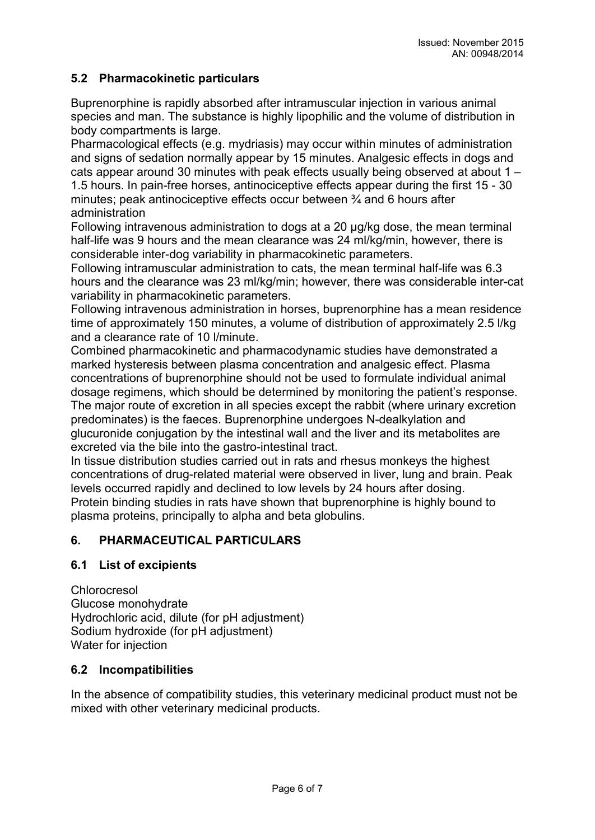# **5.2 Pharmacokinetic particulars**

Buprenorphine is rapidly absorbed after intramuscular injection in various animal species and man. The substance is highly lipophilic and the volume of distribution in body compartments is large.

Pharmacological effects (e.g. mydriasis) may occur within minutes of administration and signs of sedation normally appear by 15 minutes. Analgesic effects in dogs and cats appear around 30 minutes with peak effects usually being observed at about 1 – 1.5 hours. In pain-free horses, antinociceptive effects appear during the first 15 - 30 minutes; peak antinociceptive effects occur between ¾ and 6 hours after administration

Following intravenous administration to dogs at a 20 μg/kg dose, the mean terminal half-life was 9 hours and the mean clearance was 24 ml/kg/min, however, there is considerable inter-dog variability in pharmacokinetic parameters.

Following intramuscular administration to cats, the mean terminal half-life was 6.3 hours and the clearance was 23 ml/kg/min; however, there was considerable inter-cat variability in pharmacokinetic parameters.

Following intravenous administration in horses, buprenorphine has a mean residence time of approximately 150 minutes, a volume of distribution of approximately 2.5 l/kg and a clearance rate of 10 l/minute.

Combined pharmacokinetic and pharmacodynamic studies have demonstrated a marked hysteresis between plasma concentration and analgesic effect. Plasma concentrations of buprenorphine should not be used to formulate individual animal dosage regimens, which should be determined by monitoring the patient's response. The major route of excretion in all species except the rabbit (where urinary excretion predominates) is the faeces. Buprenorphine undergoes N-dealkylation and glucuronide conjugation by the intestinal wall and the liver and its metabolites are excreted via the bile into the gastro-intestinal tract.

In tissue distribution studies carried out in rats and rhesus monkeys the highest concentrations of drug-related material were observed in liver, lung and brain. Peak levels occurred rapidly and declined to low levels by 24 hours after dosing. Protein binding studies in rats have shown that buprenorphine is highly bound to plasma proteins, principally to alpha and beta globulins.

## **6. PHARMACEUTICAL PARTICULARS**

## **6.1 List of excipients**

Chlorocresol Glucose monohydrate Hydrochloric acid, dilute (for pH adjustment) Sodium hydroxide (for pH adjustment) Water for injection

#### **6.2 Incompatibilities**

In the absence of compatibility studies, this veterinary medicinal product must not be mixed with other veterinary medicinal products.